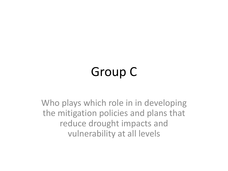## Group C

Who plays which role in in developing the mitigation policies and plans that reduce drought impacts and vulnerability at all levels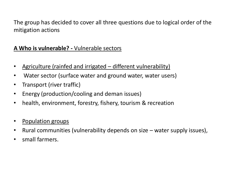The group has decided to cover all three questions due to logical order of the mitigation actions

## **A Who is vulnerable? -** Vulnerable sectors

- Agriculture (rainfed and irrigated different vulnerability)
- Water sector (surface water and ground water, water users)
- Transport (river traffic)
- Energy (production/cooling and deman issues)
- health, environment, forestry, fishery, tourism & recreation
- Population groups
- Rural communities (vulnerability depends on size water supply issues),
- small farmers.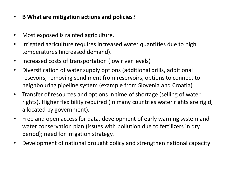- **B What are mitigation actions and policies?**
- Most exposed is rainfed agriculture.
- Irrigated agriculture requires increased water quantities due to high temperatures (increased demand).
- Increased costs of transportation (low river levels)
- Diversification of water supply options (additional drills, additional resevoirs, removing sendiment from reservoirs, options to connect to neighbouring pipeline system (example from Slovenia and Croatia)
- Transfer of resources and options in time of shortage (selling of water rights). Higher flexibility required (in many countries water rights are rigid, allocated by government).
- Free and open access for data, development of early warning system and water conservation plan (issues with pollution due to fertilizers in dry period); need for irrigation strategy.
- Development of national drought policy and strengthen national capacity